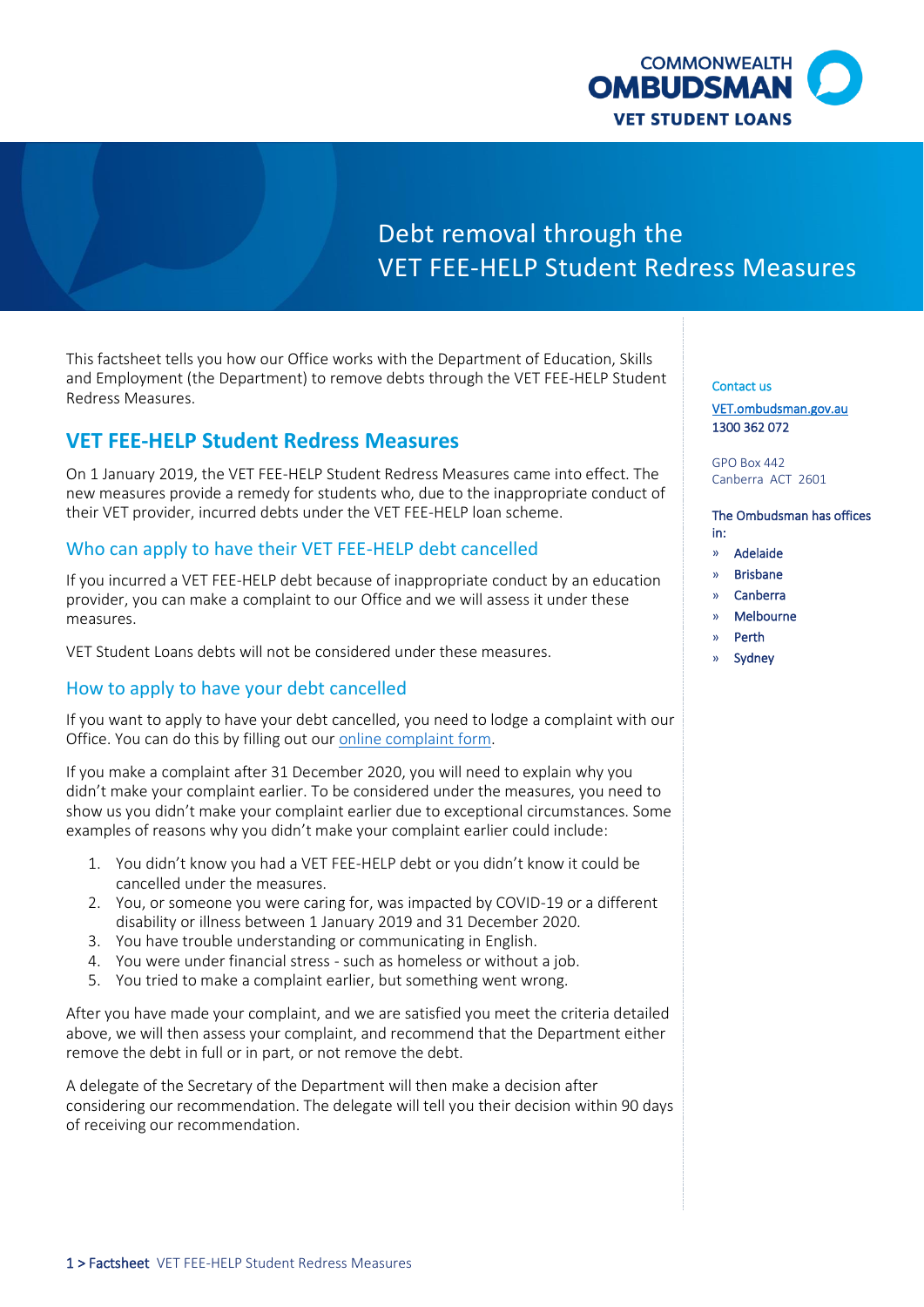

# Debt removal through the VET FEE-HELP Student Redress Measures

 This factsheet tells you how our Office works with the Department of Education, Skills and Employment (the Department) to remove debts through the VET FEE-HELP Student Redress Measures.

# **VET FEE-HELP Student Redress Measures**

On 1 January 2019, the VET FEE-HELP Student Redress Measures came into effect. The new measures provide a remedy for students who, due to the inappropriate conduct of their VET provider, incurred debts under the VET FEE-HELP loan scheme.

# Who can apply to have their VET FEE-HELP debt cancelled

 provider, you can make a complaint to our Office and we will assess it under these If you incurred a VET FEE-HELP debt because of inappropriate conduct by an education measures.

VET Student Loans debts will not be considered under these measures.

# How to apply to have your debt cancelled

Office. You can do this by filling out our online complaint form. If you want to apply to have your debt cancelled, you need to lodge a complaint with our

 show us you didn't make your complaint earlier due to exceptional circumstances. Some examples of reasons why you didn't make your complaint earlier could include: If you make a [complaint](https://forms.ombudsman.gov.au/prod?entitytype=Approach&layoutcode=ApproachWebForm) after 31 December 2020, you will need to explain why you didn't make your complaint earlier. To be considered under the measures, you need to

- 1. You didn't know you had a VET FEE-HELP debt or you didn't know it could be cancelled under the measures.
- 2. You, or someone you were caring for, was impacted by COVID-19 or a different disability or illness between 1 January 2019 and 31 December 2020.
- 3. You have trouble understanding or communicating in English.
- 4. You were under financial stress such as homeless or without a job.
- 5. You tried to make a complaint earlier, but something went wrong.

 After you have made your complaint, and we are satisfied you meet the criteria detailed remove the debt in full or in part, or not remove the debt. above, we will then assess your complaint, and recommend that the Department either

 A delegate of the Secretary of the Department will then make a decision after considering our recommendation. The delegate will tell you their decision within 90 days of receiving our recommendation.

Contact us

[VET.ombudsman.gov.au](https://vet.ombudsman.gov.au/)  1300 362 072

GPO Box 442 Canberra ACT 2601

#### The Ombudsman has offices in:

- » Adelaide
- » Brisbane
- » Canberra
- » Melbourne
- » Perth
- **Sydney**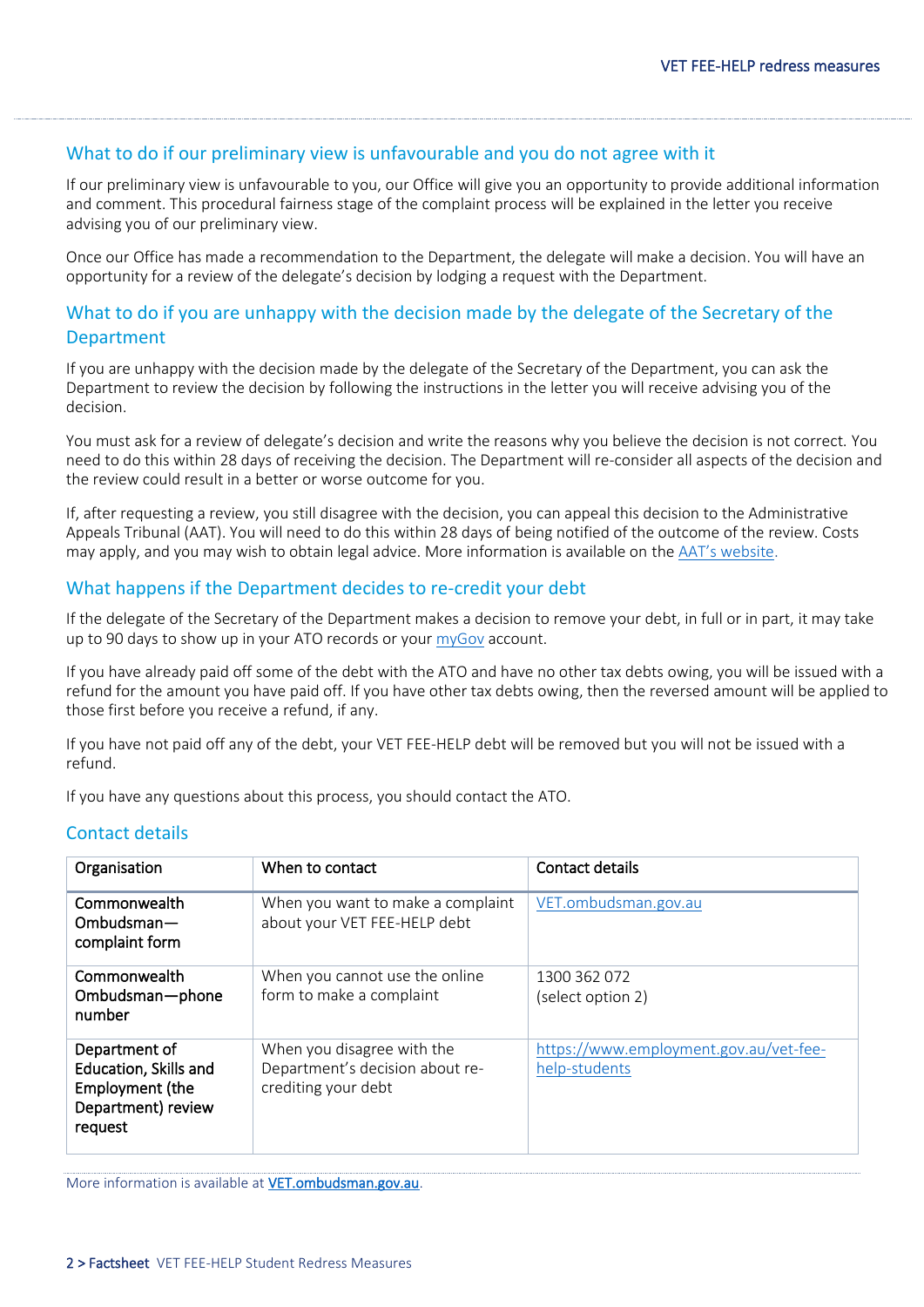### What to do if our preliminary view is unfavourable and you do not agree with it

If our preliminary view is unfavourable to you, our Office will give you an opportunity to provide additional information and comment. This procedural fairness stage of the complaint process will be explained in the letter you receive advising you of our preliminary view.

 opportunity for a review of the delegate's decision by lodging a request with the Department. Once our Office has made a recommendation to the Department, the delegate will make a decision. You will have an

# What to do if you are unhappy with the decision made by the delegate of the Secretary of the **Department**

 If you are unhappy with the decision made by the delegate of the Secretary of the Department, you can ask the Department to review the decision by following the instructions in the letter you will receive advising you of the decision.

 You must ask for a review of delegate's decision and write the reasons why you believe the decision is not correct. You need to do this within 28 days of receiving the decision. The Department will re-consider all aspects of the decision and the review could result in a better or worse outcome for you.

 Appeals Tribunal (AAT). You will need to do this within 28 days of being notified of the outcome of the review. Costs If, after requesting a review, you still disagree with the decision, you can appeal this decision to the Administrative may apply, and you may wish to obtain legal advice. More information is available on the [AAT's website](http://www.aat.gov.au/applying-for-a-review).

### What happens if the Department decides to re-credit your debt

If the delegate of the Secretary of the Department makes a decision to remove your debt, in full or in part, it may take up to 90 days to show up in your ATO records or your [myGov](https://my.gov.au/) account.

 If you have already paid off some of the debt with the ATO and have no other tax debts owing, you will be issued with a refund for the amount you have paid off. If you have other tax debts owing, then the reversed amount will be applied to those first before you receive a refund, if any.

If you have not paid off any of the debt, your VET FEE-HELP debt will be removed but you will not be issued with a refund.

If you have any questions about this process, you should contact the ATO.

## Contact details

| Organisation                                                                               | When to contact                                                                      | Contact details                                         |
|--------------------------------------------------------------------------------------------|--------------------------------------------------------------------------------------|---------------------------------------------------------|
| Commonwealth<br>$Ombudsman -$<br>complaint form                                            | When you want to make a complaint<br>about your VET FEE-HELP debt                    | VET.ombudsman.gov.au                                    |
| Commonwealth<br>Ombudsman-phone<br>number                                                  | When you cannot use the online<br>form to make a complaint                           | 1300 362 072<br>(select option 2)                       |
| Department of<br>Education, Skills and<br>Employment (the<br>Department) review<br>request | When you disagree with the<br>Department's decision about re-<br>crediting your debt | https://www.employment.gov.au/vet-fee-<br>help-students |

More information is available at [VET.ombudsman.gov.au.](https://vet.ombudsman.gov.au/)